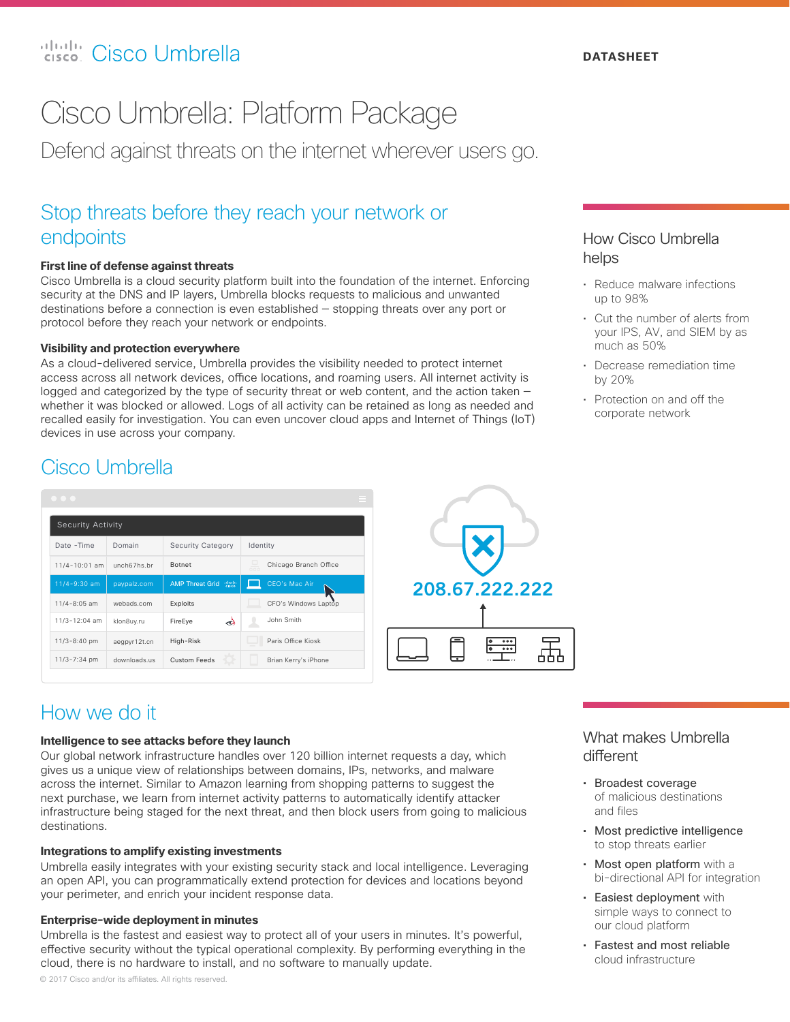## Cisco Umbrella: Platform Package

Defend against threats on the internet wherever users go.

# endpoints

### **First line of defense against threats**

Cisco Umbrella is a cloud security platform built into the foundation of the internet. Enforcing security at the DNS and IP layers, Umbrella blocks requests to malicious and unwanted destinations before a connection is even established — stopping threats over any port or protocol before they reach your network or endpoints.

### **Visibility and protection everywhere**

Stop threats before they reach your network or<br>
endpoints<br>
First line of defense against threats<br>
Cisco Umbrella is a cloud security attem built into the foundation of the inte<br>
security at the DNS and IP layers, Umbrella As a cloud-delivered service, Umbrella provides the visibility needed to protect internet access across all network devices, office locations, and roaming users. All internet activity is logged and categorized by the type of security threat or web content, and the action taken – whether it was blocked or allowed. Logs of all activity can be retained as long as needed and recalled easily for investigation. You can even uncover cloud apps and Internet of Things (IoT) devices in use across your company.

### How Cisco Umbrella helps

- Reduce malware infections up to 98%
- Cut the number of alerts from your IPS, AV, and SIEM by as much as 50%
- Decrease remediation time by 20%
- Protection on and off the corporate network

### Cisco Umbrella

#### Date -Time Domain Security Category | Identity Security Activity 11/4-10:01 am unch67hs.br 11/4-9:30 am 11/4-8:05 am webads.com **AMP Threat Grid** ( Exploits Botnet CEO's Mac Air CFO's Windows Lap Chicago Branch Office

Custom Feeds

ત્જે

FireEye

High-Risk



### How we do it

klon8uy.ru

downloads.us aegpyr12t.cn

11/3-12:04 am 11/3-8:40 pm 11/3-7:34 pm

#### **Intelligence to see attacks before they launch**

Our global network infrastructure handles over 120 billion internet requests a day, which gives us a unique view of relationships between domains, IPs, networks, and malware across the internet. Similar to Amazon learning from shopping patterns to suggest the next purchase, we learn from internet activity patterns to automatically identify attacker infrastructure being staged for the next threat, and then block users from going to malicious destinations.

John Smith

Brian Kerry's iPhone

Paris Office Kiosk

### **Integrations to amplify existing investments**

Umbrella easily integrates with your existing security stack and local intelligence. Leveraging an open API, you can programmatically extend protection for devices and locations beyond your perimeter, and enrich your incident response data.

#### **Enterprise-wide deployment in minutes**

Umbrella is the fastest and easiest way to protect all of your users in minutes. It's powerful, effective security without the typical operational complexity. By performing everything in the cloud, there is no hardware to install, and no software to manually update.

### What makes Umbrella different

- Broadest coverage of malicious destinations and files
- Most predictive intelligence to stop threats earlier
- Most open platform with a bi-directional API for integration
- Easiest deployment with simple ways to connect to our cloud platform
- Fastest and most reliable cloud infrastructure